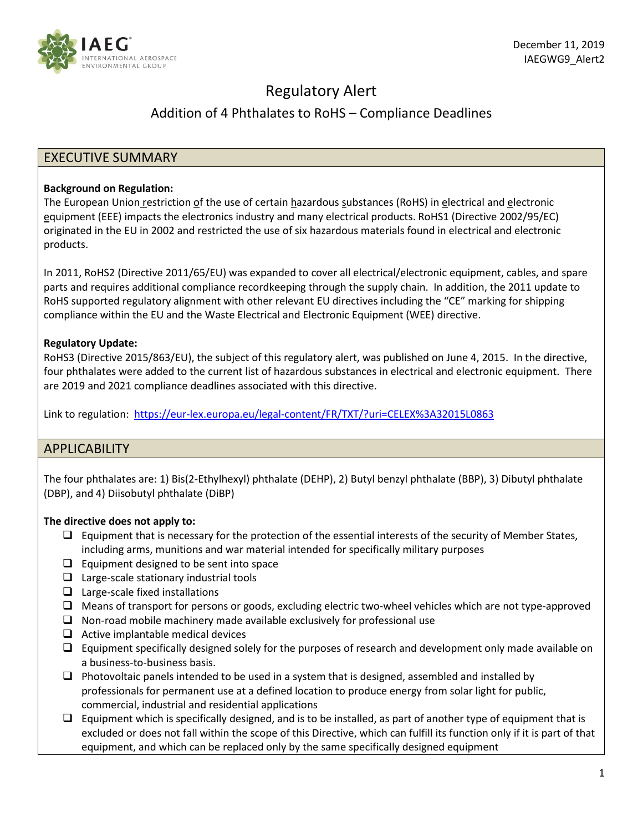

# Regulatory Alert

# Addition of 4 Phthalates to RoHS – Compliance Deadlines

## EXECUTIVE SUMMARY

#### **Background on Regulation:**

The European Union restriction of the use of certain hazardous substances (RoHS) in electrical and electronic equipment (EEE) impacts the electronics industry and many electrical products. RoHS1 (Directive 2002/95/EC) originated in the EU in 2002 and restricted the use of six hazardous materials found in electrical and electronic products.

In 2011, RoHS2 (Directive 2011/65/EU) was expanded to cover all electrical/electronic equipment, cables, and spare parts and requires additional compliance recordkeeping through the supply chain. In addition, the 2011 update to RoHS supported regulatory alignment with other relevant EU directives including the "CE" marking for shipping compliance within the EU and the Waste Electrical and Electronic Equipment (WEE) directive.

## **Regulatory Update:**

RoHS3 (Directive 2015/863/EU), the subject of this regulatory alert, was published on June 4, 2015. In the directive, four phthalates were added to the current list of hazardous substances in electrical and electronic equipment. There are 2019 and 2021 compliance deadlines associated with this directive.

Link to regulation: <https://eur-lex.europa.eu/legal-content/FR/TXT/?uri=CELEX%3A32015L0863>

## APPLICABILITY

The four phthalates are: 1) Bis(2-Ethylhexyl) phthalate (DEHP), 2) Butyl benzyl phthalate (BBP), 3) Dibutyl phthalate (DBP), and 4) Diisobutyl phthalate (DiBP)

## **The directive does not apply to:**

- $\Box$  Equipment that is necessary for the protection of the essential interests of the security of Member States, including arms, munitions and war material intended for specifically military purposes
- $\Box$  Equipment designed to be sent into space
- $\Box$  Large-scale stationary industrial tools
- $\Box$  Large-scale fixed installations
- $\Box$  Means of transport for persons or goods, excluding electric two-wheel vehicles which are not type-approved
- $\Box$  Non-road mobile machinery made available exclusively for professional use
- $\Box$  Active implantable medical devices
- $\Box$  Equipment specifically designed solely for the purposes of research and development only made available on a business-to-business basis.
- $\Box$  Photovoltaic panels intended to be used in a system that is designed, assembled and installed by professionals for permanent use at a defined location to produce energy from solar light for public, commercial, industrial and residential applications
- $\Box$  Equipment which is specifically designed, and is to be installed, as part of another type of equipment that is excluded or does not fall within the scope of this Directive, which can fulfill its function only if it is part of that equipment, and which can be replaced only by the same specifically designed equipment